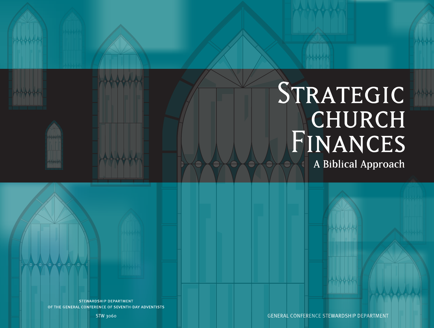# STRATEGIC CHURCH FINANCES A Biblical Approach

**GENERAL CONFERENCE STEWARDSHIP DEPARTMENT**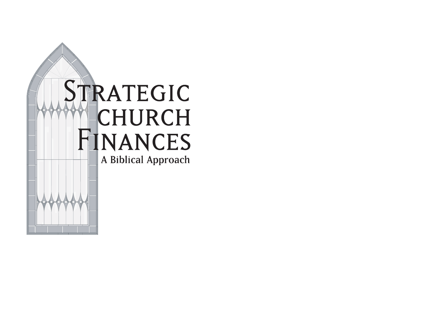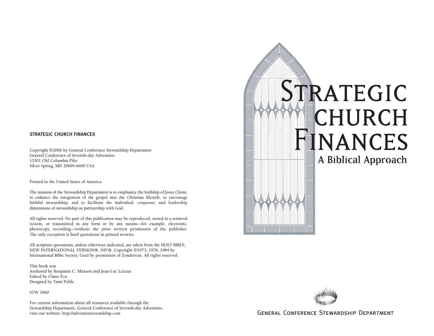#### STRATEGIC CHURCH FINANCES

Copyright ©2006 by General Conference Stewardship Department General Conference of Seventh-day Adventists 12501 Old Columbia Pike Silver Spring, MD 20604-6600 USA

Printed in the United States of America

The mission of the Stewardship Department is to emphasize the lordship of Jesus Christ, to enhance the integration of the gospel into the Christian lifestyle, to encourage faithful stewardship, and to facilitate the individual, corporate, and leadership dimensions of stewardship as partnership with God.

All rights reserved. No part of this publication may be reproduced, stored in a retrieval system, or transmitted in any form or by any means—for example, electronic, photocopy, recording—without the prior written permission of the publisher. The only exception is brief quotations in printed reviews.

All scripture quotations, unless otherwise indicated, are taken from the HOLY BIBLE, NEW INTERNATIONAL VERSION®. NIV®. Copyright ©1973, 1978, 1984 by International Bible Society. Used by permission of Zondervan. All rights reserved.

This book was Authored by Benjamin C. Maxson and Jean-Luc Lézeau Edited by Claire Eva Designed by Tami Pohle

STW 3060

For current information about all resources available through the Stewardship Department, General Conference of Seventh-day Adventists,

# STRATEGIC CHURCH **HINANCES** A Biblical Approach



GENERAL CONFERENCE STEWARDSHIP DEPARTMENT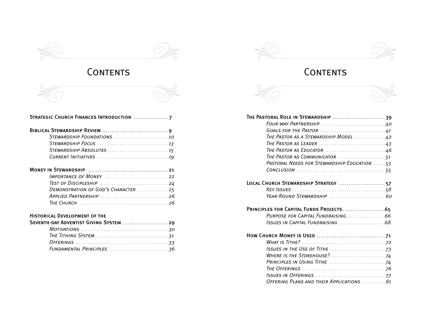





#### STRATEGIC CHURCH FINANCES INTRODUCTION .................... 7

| DEMONSTRATION OF GOD'S CHARACTER 25                                                              |  |
|--------------------------------------------------------------------------------------------------|--|
|                                                                                                  |  |
| THE CHURCH $\ldots$ , $\ldots$ , $\ldots$ , $\ldots$ , $\ldots$ , $\ldots$ , $\ldots$ , $\ldots$ |  |

# HISTORICAL DEVELOPMENT OF THE<br>SEVENTH-DAY ADVENTIST GIVING SY

| SEVENTH-DAY ADVENTIST GIVING SYSTEM  29 |  |
|-----------------------------------------|--|
|                                         |  |
|                                         |  |
|                                         |  |
|                                         |  |

## Contents Contents

| THE PASTORAL ROLE IN STEWARDSHIP 39                                                             |  |
|-------------------------------------------------------------------------------------------------|--|
|                                                                                                 |  |
|                                                                                                 |  |
| The Pastor as a Stewardship Model 42                                                            |  |
| THE PASTOR AS LEADER $\ldots \ldots \ldots \ldots \ldots \ldots \ldots \ldots \ldots \ldots 43$ |  |
| The Pastor as Educator $\ldots \ldots \ldots \ldots \ldots \ldots \ldots \ldots 46$             |  |
| THE PASTOR AS COMMUNICATOR 51                                                                   |  |
| PASTORAL NEEDS FOR STEWARDSHIP EDUCATION 53                                                     |  |
|                                                                                                 |  |
| LOCAL CHURCH STEWARDSHIP STRATEGY 57                                                            |  |
|                                                                                                 |  |
|                                                                                                 |  |
|                                                                                                 |  |
| PURPOSE FOR CAPITAL FUNDRAISING 66                                                              |  |
|                                                                                                 |  |
|                                                                                                 |  |
|                                                                                                 |  |
|                                                                                                 |  |
|                                                                                                 |  |
|                                                                                                 |  |
|                                                                                                 |  |
|                                                                                                 |  |

*Offering Plans and their Applications* . . . . . . . . . . . . *81*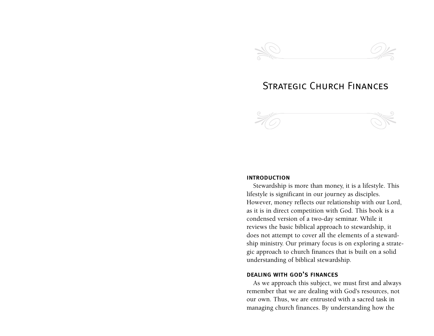

## Strategic Church Finances



#### introduction

Stewardship is more than money, it is a lifestyle. This lifestyle is significant in our journey as disciples. However, money reflects our relationship with our Lord, as it is in direct competition with God. This book is a condensed version of a two-day seminar. While it reviews the basic biblical approach to stewardship, it does not attempt to cover all the elements of a stewardship ministry. Our primary focus is on exploring a strategic approach to church finances that is built on a solid understanding of biblical stewardship.

#### dealing with god's finances

As we approach this subject, we must first and always remember that we are dealing with God's resources, not our own. Thus, we are entrusted with a sacred task in managing church finances. By understanding how the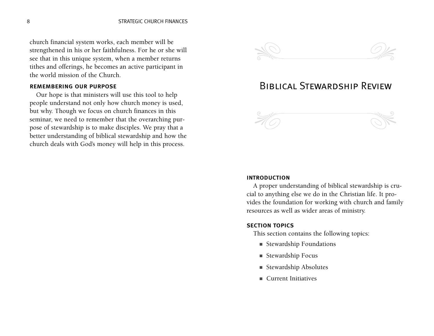church financial system works, each member will be strengthened in his or her faithfulness. For he or she will see that in this unique system, when a member returns tithes and offerings, he becomes an active participant in the world mission of the Church.

#### remembering our purpose

Our hope is that ministers will use this tool to help people understand not only how church money is used, but why. Though we focus on church finances in this seminar, we need to remember that the overarching purpose of stewardship is to make disciples. We pray that a better understanding of biblical stewardship and how the church deals with God's money will help in this process.



## Biblical Stewardship Review



#### introduction

A proper understanding of biblical stewardship is crucial to anything else we do in the Christian life. It provides the foundation for working with church and family resources as well as wider areas of ministry.

#### section topics

This section contains the following topics:

- Stewardship Foundations
- Stewardship Focus
- Stewardship Absolutes
- Current Initiatives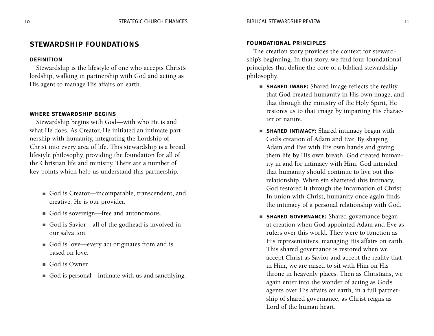#### stewardship foundations

#### **DEFINITION**

Stewardship is the lifestyle of one who accepts Christ's lordship, walking in partnership with God and acting as His agent to manage His affairs on earth.

#### where stewardship begins

Stewardship begins with God—with who He is and what He does. As Creator, He initiated an intimate partnership with humanity, integrating the Lordship of Christ into every area of life. This stewardship is a broad lifestyle philosophy, providing the foundation for all of the Christian life and ministry. There are a number of key points which help us understand this partnership.

- God is Creator—incomparable, transcendent, and creative. He is our provider.
- God is sovereign—free and autonomous.
- God is Savior—all of the godhead is involved in our salvation.
- God is love—every act originates from and is based on love.
- God is Owner.
- God is personal—intimate with us and sanctifying.

#### foundational principles

The creation story provides the context for stewardship's beginning. In that story, we find four foundational principles that define the core of a biblical stewardship philosophy.

- **SHARED IMAGE:** Shared image reflects the reality that God created humanity in His own image, and that through the ministry of the Holy Spirit, He restores us to that image by imparting His character or nature.
- **SHARED INTIMACY:** Shared intimacy began with God's creation of Adam and Eve. By shaping Adam and Eve with His own hands and giving them life by His own breath, God created humanity in and for intimacy with Him. God intended that humanity should continue to live out this relationship. When sin shattered this intimacy, God restored it through the incarnation of Christ. In union with Christ, humanity once again finds the intimacy of a personal relationship with God.
- SHARED GOVERNANCE: Shared governance began at creation when God appointed Adam and Eve as rulers over this world. They were to function as His representatives, managing His affairs on earth. This shared governance is restored when we accept Christ as Savior and accept the reality that in Him, we are raised to sit with Him on His throne in heavenly places. Then as Christians, we again enter into the wonder of acting as God's agents over His affairs on earth, in a full partnership of shared governance, as Christ reigns as Lord of the human heart.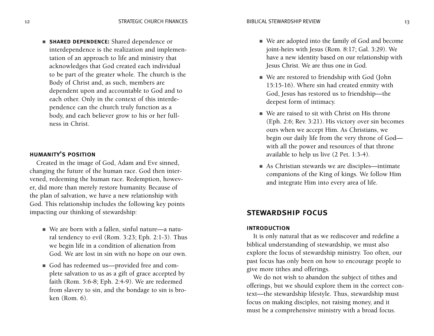■ shared dependence: Shared dependence or interdependence is the realization and implementation of an approach to life and ministry that acknowledges that God created each individual to be part of the greater whole. The church is the Body of Christ and, as such, members are dependent upon and accountable to God and to each other. Only in the context of this interdependence can the church truly function as a body, and each believer grow to his or her fullness in Christ.

#### humanity's position

Created in the image of God, Adam and Eve sinned, changing the future of the human race. God then intervened, redeeming the human race. Redemption, however, did more than merely restore humanity. Because of the plan of salvation, we have a new relationship with God. This relationship includes the following key points impacting our thinking of stewardship:

- We are born with a fallen, sinful nature—a natural tendency to evil (Rom. 3:23; Eph. 2:1-3). Thus we begin life in a condition of alienation from God. We are lost in sin with no hope on our own.
- God has redeemed us—provided free and complete salvation to us as a gift of grace accepted by faith (Rom. 5:6-8; Eph. 2:4-9). We are redeemed from slavery to sin, and the bondage to sin is broken (Rom. 6).
- We are adopted into the family of God and become joint-heirs with Jesus (Rom. 8:17; Gal. 3:29). We have a new identity based on our relationship with Jesus Christ. We are thus one in God.
- We are restored to friendship with God (John 15:15-16). Where sin had created enmity with God, Jesus has restored us to friendship—the deepest form of intimacy.
- We are raised to sit with Christ on His throne (Eph. 2:6; Rev. 3:21). His victory over sin becomes ours when we accept Him. As Christians, we begin our daily life from the very throne of God with all the power and resources of that throne available to help us live (2 Pet. 1:3-4).
- As Christian stewards we are disciples—intimate companions of the King of kings. We follow Him and integrate Him into every area of life.

#### stewardship focus

#### introduction

It is only natural that as we rediscover and redefine a biblical understanding of stewardship, we must also explore the focus of stewardship ministry. Too often, our past focus has only been on how to encourage people to give more tithes and offerings.

We do not wish to abandon the subject of tithes and offerings, but we should explore them in the correct context—the stewardship lifestyle. Thus, stewardship must focus on making disciples, not raising money, and it must be a comprehensive ministry with a broad focus.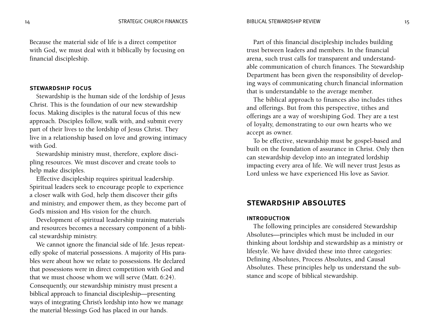Because the material side of life is a direct competitor with God, we must deal with it biblically by focusing on financial discipleship.

#### stewardship focus

Stewardship is the human side of the lordship of Jesus Christ. This is the foundation of our new stewardship focus. Making disciples is the natural focus of this new approach. Disciples follow, walk with, and submit every part of their lives to the lordship of Jesus Christ. They live in a relationship based on love and growing intimacy with God.

Stewardship ministry must, therefore, explore discipling resources. We must discover and create tools to help make disciples.

Effective discipleship requires spiritual leadership. Spiritual leaders seek to encourage people to experience a closer walk with God, help them discover their gifts and ministry, and empower them, as they become part of God's mission and His vision for the church.

Development of spiritual leadership training materials and resources becomes a necessary component of a biblical stewardship ministry.

We cannot ignore the financial side of life. Jesus repeatedly spoke of material possessions. A majority of His parables were about how we relate to possessions. He declared that possessions were in direct competition with God and that we must choose whom we will serve (Matt. 6:24). Consequently, our stewardship ministry must present a biblical approach to financial discipleship—presenting ways of integrating Christ's lordship into how we manage the material blessings God has placed in our hands.

Part of this financial discipleship includes building trust between leaders and members. In the financial arena, such trust calls for transparent and understandable communication of church finances. The Stewardship Department has been given the responsibility of developing ways of communicating church financial information that is understandable to the average member.

The biblical approach to finances also includes tithes and offerings. But from this perspective, tithes and offerings are a way of worshiping God. They are a test of loyalty, demonstrating to our own hearts who we accept as owner.

To be effective, stewardship must be gospel-based and built on the foundation of assurance in Christ. Only then can stewardship develop into an integrated lordship impacting every area of life. We will never trust Jesus as Lord unless we have experienced His love as Savior.

#### stewardship absolutes

#### introduction

The following principles are considered Stewardship Absolutes—principles which must be included in our thinking about lordship and stewardship as a ministry or lifestyle. We have divided these into three categories: Defining Absolutes, Process Absolutes, and Causal Absolutes. These principles help us understand the substance and scope of biblical stewardship.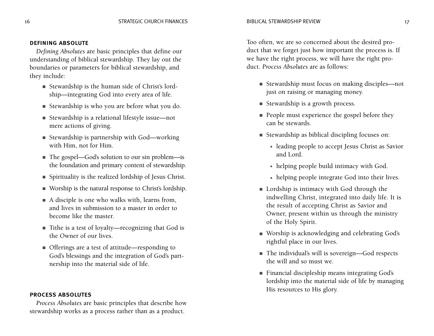#### defining absolute

*Defining Absolutes* are basic principles that define our understanding of biblical stewardship. They lay out the boundaries or parameters for biblical stewardship, and they include:

- Stewardship is the human side of Christ's lordship—integrating God into every area of life.
- Stewardship is who you are before what you do.
- Stewardship is a relational lifestyle issue—not mere actions of giving.
- Stewardship is partnership with God—working with Him, not for Him.
- The gospel—God's solution to our sin problem—is the foundation and primary content of stewardship.
- Spirituality is the realized lordship of Jesus Christ.
- Worship is the natural response to Christ's lordship.
- A disciple is one who walks with, learns from, and lives in submission to a master in order to become like the master.
- Tithe is a test of loyalty—recognizing that God is the Owner of our lives.
- Offerings are a test of attitude—responding to God's blessings and the integration of God's partnership into the material side of life.

#### process absolutes

*Process Absolutes* are basic principles that describe how stewardship works as a process rather than as a product.

Too often, we are so concerned about the desired product that we forget just how important the process is. If we have the right process, we will have the right product. *Process Absolutes* are as follows:

- Stewardship must focus on making disciples—not just on raising or managing money.
- Stewardship is a growth process.
- People must experience the gospel before they can be stewards.
- Stewardship as biblical discipling focuses on:
	- leading people to accept Jesus Christ as Savior and Lord.
	- helping people build intimacy with God.
	- helping people integrate God into their lives.
- Lordship is intimacy with God through the indwelling Christ, integrated into daily life. It is the result of accepting Christ as Savior and Owner, present within us through the ministry of the Holy Spirit.
- Worship is acknowledging and celebrating God's rightful place in our lives.
- The individual's will is sovereign—God respects the will and so must we.
- Financial discipleship means integrating God's lordship into the material side of life by managing His resources to His glory.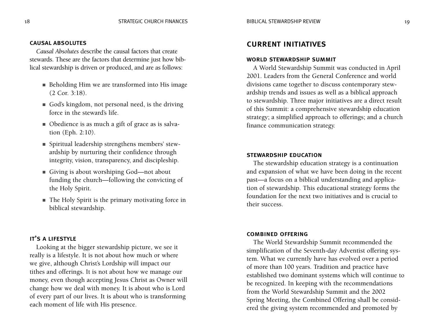#### causal absolutes

*Causal Absolutes* describe the causal factors that create stewards. These are the factors that determine just how biblical stewardship is driven or produced, and are as follows:

- Beholding Him we are transformed into His image (2 Cor. 3:18).
- God's kingdom, not personal need, is the driving force in the steward's life.
- Obedience is as much a gift of grace as is salvation (Eph. 2:10).
- Spiritual leadership strengthens members' stewardship by nurturing their confidence through integrity, vision, transparency, and discipleship.
- Giving is about worshiping God—not about funding the church—following the convicting of the Holy Spirit.
- The Holy Spirit is the primary motivating force in biblical stewardship.

#### it's a lifestyle

Looking at the bigger stewardship picture, we see it really is a lifestyle. It is not about how much or where we give, although Christ's Lordship will impact our tithes and offerings. It is not about how we manage our money, even though accepting Jesus Christ as Owner will change how we deal with money. It is about who is Lord of every part of our lives. It is about who is transforming each moment of life with His presence.

#### current initiatives

#### world stewardship summit

A World Stewardship Summit was conducted in April 2001. Leaders from the General Conference and world divisions came together to discuss contemporary stewardship trends and issues as well as a biblical approach to stewardship. Three major initiatives are a direct result of this Summit: a comprehensive stewardship education strategy; a simplified approach to offerings; and a church finance communication strategy.

#### stewardship education

The stewardship education strategy is a continuation and expansion of what we have been doing in the recent past—a focus on a biblical understanding and application of stewardship. This educational strategy forms the foundation for the next two initiatives and is crucial to their success.

#### combined offering

The World Stewardship Summit recommended the simplification of the Seventh-day Adventist offering system. What we currently have has evolved over a period of more than 100 years. Tradition and practice have established two dominant systems which will continue to be recognized. In keeping with the recommendations from the World Stewardship Summit and the 2002 Spring Meeting, the Combined Offering shall be considered the giving system recommended and promoted by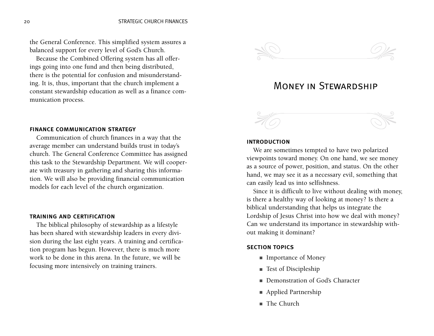the General Conference. This simplified system assures a balanced support for every level of God's Church.

Because the Combined Offering system has all offerings going into one fund and then being distributed, there is the potential for confusion and misunderstanding. It is, thus, important that the church implement a constant stewardship education as well as a finance communication process.

#### finance communication strategy

Communication of church finances in a way that the average member can understand builds trust in today's church. The General Conference Committee has assigned this task to the Stewardship Department. We will cooperate with treasury in gathering and sharing this information. We will also be providing financial communication models for each level of the church organization.

#### training and certification

The biblical philosophy of stewardship as a lifestyle has been shared with stewardship leaders in every division during the last eight years. A training and certification program has begun. However, there is much more work to be done in this arena. In the future, we will be focusing more intensively on training trainers.



## Money in Stewardship

#### introduction

We are sometimes tempted to have two polarized viewpoints toward money. On one hand, we see money as a source of power, position, and status. On the other hand, we may see it as a necessary evil, something that can easily lead us into selfishness.

Since it is difficult to live without dealing with money, is there a healthy way of looking at money? Is there a biblical understanding that helps us integrate the Lordship of Jesus Christ into how we deal with money? Can we understand its importance in stewardship without making it dominant?

#### section topics

- Importance of Money
- Test of Discipleship
- Demonstration of God's Character
- Applied Partnership
- The Church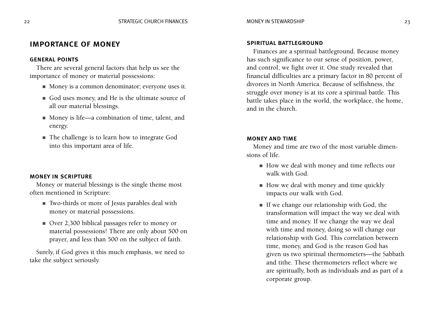#### importance of money

#### general points

There are several general factors that help us see the importance of money or material possessions:

- Money is a common denominator; everyone uses it.
- God uses money, and He is the ultimate source of all our material blessings.
- Money is life—a combination of time, talent, and energy.
- The challenge is to learn how to integrate God into this important area of life.

#### money in scripture

Money or material blessings is the single theme most often mentioned in Scripture:

- Two-thirds or more of Jesus parables deal with money or material possessions.
- Over 2,300 biblical passages refer to money or material possessions! There are only about 500 on prayer, and less than 500 on the subject of faith.

Surely, if God gives it this much emphasis, we need to take the subject seriously.

#### spiritual battleground

Finances are a spiritual battleground. Because money has such significance to our sense of position, power, and control, we fight over it. One study revealed that financial difficulties are a primary factor in 80 percent of divorces in North America. Because of selfishness, the struggle over money is at its core a spiritual battle. This battle takes place in the world, the workplace, the home, and in the church.

#### money and time

Money and time are two of the most variable dimensions of life.

- How we deal with money and time reflects our walk with God.
- How we deal with money and time quickly impacts our walk with God.
- If we change our relationship with God, the transformation will impact the way we deal with time and money. If we change the way we deal with time and money, doing so will change our relationship with God. This correlation between time, money, and God is the reason God has given us two spiritual thermometers—the Sabbath and tithe. These thermometers reflect where we are spiritually, both as individuals and as part of a corporate group.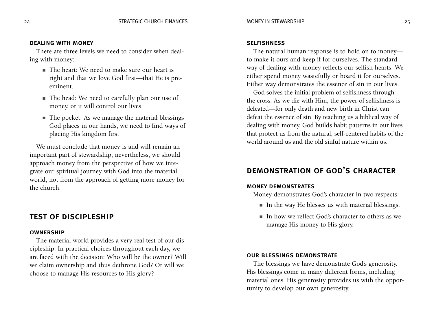#### dealing with money

There are three levels we need to consider when dealing with money:

- The heart: We need to make sure our heart is right and that we love God first—that He is preeminent.
- The head: We need to carefully plan our use of money, or it will control our lives.
- The pocket: As we manage the material blessings God places in our hands, we need to find ways of placing His kingdom first.

We must conclude that money is and will remain an important part of stewardship; nevertheless, we should approach money from the perspective of how we integrate our spiritual journey with God into the material world, not from the approach of getting more money for the church.

#### test of discipleship

#### **OWNERSHIP**

The material world provides a very real test of our discipleship. In practical choices throughout each day, we are faced with the decision: Who will be the owner? Will we claim ownership and thus dethrone God? Or will we choose to manage His resources to His glory?

#### **SELFISHNESS**

The natural human response is to hold on to money to make it ours and keep if for ourselves. The standard way of dealing with money reflects our selfish hearts. We either spend money wastefully or hoard it for ourselves. Either way demonstrates the essence of sin in our lives.

God solves the initial problem of selfishness through the cross. As we die with Him, the power of selfishness is defeated—for only death and new birth in Christ can defeat the essence of sin. By teaching us a biblical way of dealing with money, God builds habit patterns in our lives that protect us from the natural, self-centered habits of the world around us and the old sinful nature within us.

## demonstration of god's character

#### money demonstrates

Money demonstrates God's character in two respects:

- In the way He blesses us with material blessings.
- In how we reflect God's character to others as we manage His money to His glory.

#### our blessings demonstrate

The blessings we have demonstrate God's generosity. His blessings come in many different forms, including material ones. His generosity provides us with the opportunity to develop our own generosity.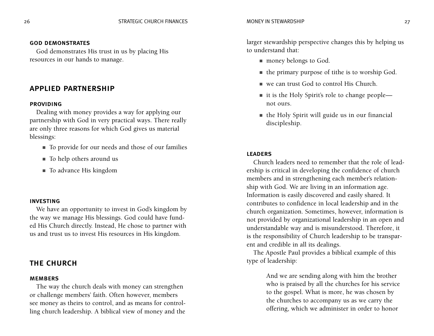#### god demonstrates

God demonstrates His trust in us by placing His resources in our hands to manage.

#### applied partnership

#### **PROVIDING**

Dealing with money provides a way for applying our partnership with God in very practical ways. There really are only three reasons for which God gives us material blessings:

- To provide for our needs and those of our families
- To help others around us
- To advance His kingdom

#### investing

We have an opportunity to invest in God's kingdom by the way we manage His blessings. God could have funded His Church directly. Instead, He chose to partner with us and trust us to invest His resources in His kingdom.

#### the church

#### **MEMBERS**

The way the church deals with money can strengthen or challenge members' faith. Often however, members see money as theirs to control, and as means for controlling church leadership. A biblical view of money and the larger stewardship perspective changes this by helping us to understand that:

- money belongs to God.
- the primary purpose of tithe is to worship God.
- we can trust God to control His Church.
- it is the Holy Spirit's role to change people not ours.
- the Holy Spirit will guide us in our financial discipleship.

#### **LEADERS**

Church leaders need to remember that the role of leadership is critical in developing the confidence of church members and in strengthening each member's relationship with God. We are living in an information age. Information is easily discovered and easily shared. It contributes to confidence in local leadership and in the church organization. Sometimes, however, information is not provided by organizational leadership in an open and understandable way and is misunderstood. Therefore, it is the responsibility of Church leadership to be transparent and credible in all its dealings.

The Apostle Paul provides a biblical example of this type of leadership:

> And we are sending along with him the brother who is praised by all the churches for his service to the gospel. What is more, he was chosen by the churches to accompany us as we carry the offering, which we administer in order to honor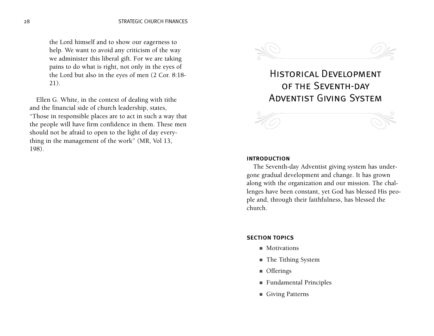the Lord himself and to show our eagerness to help. We want to avoid any criticism of the way we administer this liberal gift. For we are taking pains to do what is right, not only in the eyes of the Lord but also in the eyes of men (2 Cor. 8:18- 21).

Ellen G. White, in the context of dealing with tithe and the financial side of church leadership, states, "Those in responsible places are to act in such a way that the people will have firm confidence in them. These men should not be afraid to open to the light of day everything in the management of the work" (MR, Vol 13, 198).



## Historical Development of the Seventh-day Adventist Giving System



#### introduction

The Seventh-day Adventist giving system has undergone gradual development and change. It has grown along with the organization and our mission. The challenges have been constant, yet God has blessed His people and, through their faithfulness, has blessed the church.

#### section topics

- Motivations
- The Tithing System
- Offerings
- Fundamental Principles
- Giving Patterns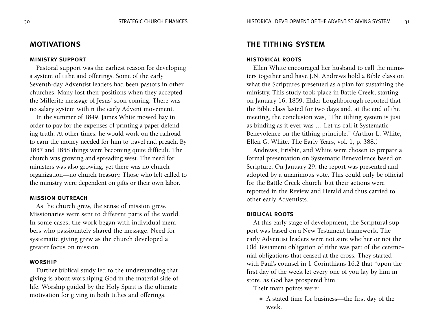#### motivations

#### ministry support

Pastoral support was the earliest reason for developing a system of tithe and offerings. Some of the early Seventh-day Adventist leaders had been pastors in other churches. Many lost their positions when they accepted the Millerite message of Jesus' soon coming. There was no salary system within the early Advent movement.

In the summer of 1849, James White mowed hay in order to pay for the expenses of printing a paper defending truth. At other times, he would work on the railroad to earn the money needed for him to travel and preach. By 1857 and 1858 things were becoming quite difficult. The church was growing and spreading west. The need for ministers was also growing, yet there was no church organization—no church treasury. Those who felt called to the ministry were dependent on gifts or their own labor.

#### mission outreach

As the church grew, the sense of mission grew. Missionaries were sent to different parts of the world. In some cases, the work began with individual members who passionately shared the message. Need for systematic giving grew as the church developed a greater focus on mission.

#### **WORSHIP**

Further biblical study led to the understanding that giving is about worshiping God in the material side of life. Worship guided by the Holy Spirit is the ultimate motivation for giving in both tithes and offerings.

#### the tithing system

#### historical roots

Ellen White encouraged her husband to call the ministers together and have J.N. Andrews hold a Bible class on what the Scriptures presented as a plan for sustaining the ministry. This study took place in Battle Creek, starting on January 16, 1859. Elder Loughborough reported that the Bible class lasted for two days and, at the end of the meeting, the conclusion was, "The tithing system is just as binding as it ever was … Let us call it Systematic Benevolence on the tithing principle." (Arthur L. White, Ellen G. White: The Early Years, vol. 1, p. 388.)

Andrews, Frisbie, and White were chosen to prepare a formal presentation on Systematic Benevolence based on Scripture. On January 29, the report was presented and adopted by a unanimous vote. This could only be official for the Battle Creek church, but their actions were reported in the Review and Herald and thus carried to other early Adventists.

#### biblical roots

At this early stage of development, the Scriptural support was based on a New Testament framework. The early Adventist leaders were not sure whether or not the Old Testament obligation of tithe was part of the ceremonial obligations that ceased at the cross. They started with Paul's counsel in 1 Corinthians 16:2 that "upon the first day of the week let every one of you lay by him in store, as God has prospered him."

Their main points were:

■ A stated time for business—the first day of the week.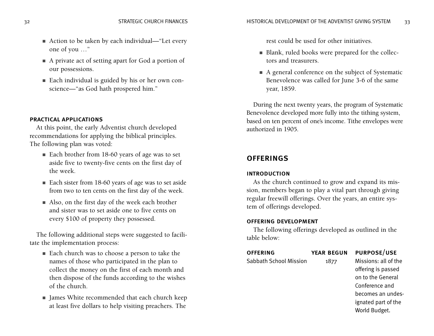- Action to be taken by each individual—"Let every one of you …"
- A private act of setting apart for God a portion of our possessions.
- Each individual is guided by his or her own conscience—"as God hath prospered him."

#### practical applications

At this point, the early Adventist church developed recommendations for applying the biblical principles. The following plan was voted:

- Each brother from 18-60 years of age was to set aside five to twenty-five cents on the first day of the week.
- Each sister from 18-60 years of age was to set aside from two to ten cents on the first day of the week.
- Also, on the first day of the week each brother and sister was to set aside one to five cents on every \$100 of property they possessed.

The following additional steps were suggested to facilitate the implementation process:

- Each church was to choose a person to take the names of those who participated in the plan to collect the money on the first of each month and then dispose of the funds according to the wishes of the church.
- James White recommended that each church keep at least five dollars to help visiting preachers. The

rest could be used for other initiatives.

- Blank, ruled books were prepared for the collectors and treasurers.
- A general conference on the subject of Systematic Benevolence was called for June 3-6 of the same year, 1859.

During the next twenty years, the program of Systematic Benevolence developed more fully into the tithing system, based on ten percent of one's income. Tithe envelopes were authorized in 1905.

### **OFFERINGS**

#### introduction

As the church continued to grow and expand its mission, members began to play a vital part through giving regular freewill offerings. Over the years, an entire system of offerings developed.

#### offering development

The following offerings developed as outlined in the table below:

| <b>OFFERING</b>        | <b>YEAR BEGUN</b> | <b>PURPOSE/USE</b>   |
|------------------------|-------------------|----------------------|
| Sabbath School Mission | 1877              | Missions: all of the |
|                        |                   | offering is passed   |
|                        |                   | on to the General    |

Conference and becomes an undesignated part of the World Budget.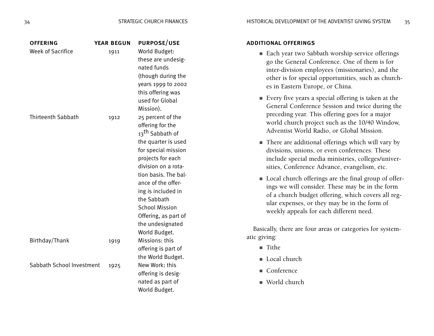| <b>OFFERING</b><br><b>Week of Sacrifice</b> | <b>YEAR BEGUN</b><br>1911 | <b>PURPOSE/USE</b><br>World Budget:<br>these are undesig-<br>nated funds<br>(though during the<br>years 1999 to 2002<br>this offering was<br>used for Global<br>Mission).                                                                                                                                                               |
|---------------------------------------------|---------------------------|-----------------------------------------------------------------------------------------------------------------------------------------------------------------------------------------------------------------------------------------------------------------------------------------------------------------------------------------|
| <b>Thirteenth Sabbath</b>                   | 1912                      | 25 percent of the<br>offering for the<br>13 <sup>th</sup> Sabbath of<br>the quarter is used<br>for special mission<br>projects for each<br>division on a rota-<br>tion basis. The bal-<br>ance of the offer-<br>ing is included in<br>the Sabbath<br><b>School Mission</b><br>Offering, as part of<br>the undesignated<br>World Budget. |
| Birthday/Thank                              | 1919                      | Missions: this<br>offering is part of<br>the World Budget.                                                                                                                                                                                                                                                                              |
| Sabbath School Investment                   | 1925                      | New Work: this<br>offering is desig-<br>nated as part of<br>World Budget.                                                                                                                                                                                                                                                               |

#### additional offerings

- Each year two Sabbath worship service offerings go the General Conference. One of them is for inter-division employees (missionaries), and the other is for special opportunities, such as churches in Eastern Europe, or China.
- Every five years a special offering is taken at the General Conference Session and twice during the preceding year. This offering goes for a major world church project such as the 10/40 Window, Adventist World Radio, or Global Mission.
- There are additional offerings which will vary by divisions, unions, or even conferences. These include special media ministries, colleges/universities, Conference Advance, evangelism, etc.
- Local church offerings are the final group of offerings we will consider. These may be in the form of a church budget offering, which covers all regular expenses, or they may be in the form of weekly appeals for each different need.

Basically, there are four areas or categories for systematic giving:

- Tithe
- Local church
- Conference
- World church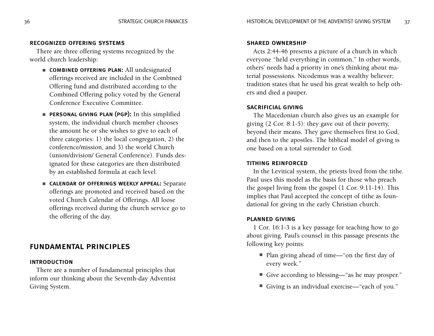#### recognized offering systems

There are three offering systems recognized by the world church leadership:

- combined offering plan: All undesignated offerings received are included in the Combined Offering fund and distributed according to the Combined Offering policy voted by the General Conference Executive Committee.
- personal giving plan (pgp): In this simplified system, the individual church member chooses the amount he or she wishes to give to each of three categories: 1) the local congregation, 2) the conference/mission, and 3) the world Church (union/division/ General Conference). Funds designated for these categories are then distributed by an established formula at each level.
- CALENDAR OF OFFERINGS WEEKLY APPEAL: Separate offerings are promoted and received based on the voted Church Calendar of Offerings. All loose offerings received during the church service go to the offering of the day.

#### fundamental principles

#### introduction

There are a number of fundamental principles that inform our thinking about the Seventh-day Adventist Giving System.

#### shared ownership

Acts 2:44-46 presents a picture of a church in which everyone "held everything in common." In other words, others' needs had a priority in one's thinking about material possessions. Nicodemus was a wealthy believer; tradition states that he used his great wealth to help others and died a pauper.

#### sacrificial giving

The Macedonian church also gives us an example for giving (2 Cor. 8:1-5): they gave out of their poverty, beyond their means. They gave themselves first to God, and then to the apostles. The biblical model of giving is one based on a total surrender to God.

#### tithing reinforced

In the Levitical system, the priests lived from the tithe. Paul uses this model as the basis for those who preach the gospel living from the gospel (1 Cor. 9:11-14). This implies that Paul accepted the concept of tithe as foundational for giving in the early Christian church.

#### planned giving

1 Cor. 16:1-3 is a key passage for teaching how to go about giving. Paul's counsel in this passage presents the following key points:

- Plan giving ahead of time—"on the first day of every week."
- Give according to blessing—"as he may prosper."
- Giving is an individual exercise—"each of you."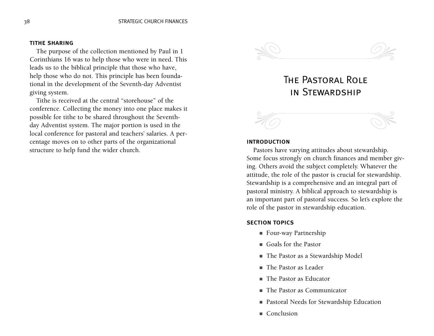#### tithe sharing

The purpose of the collection mentioned by Paul in 1 Corinthians 16 was to help those who were in need. This leads us to the biblical principle that those who have, help those who do not. This principle has been foundational in the development of the Seventh-day Adventist giving system.

Tithe is received at the central "storehouse" of the conference. Collecting the money into one place makes it possible for tithe to be shared throughout the Seventhday Adventist system. The major portion is used in the local conference for pastoral and teachers' salaries. A percentage moves on to other parts of the organizational structure to help fund the wider church.



## The Pastoral Role in Stewardship



#### introduction

Pastors have varying attitudes about stewardship. Some focus strongly on church finances and member giving. Others avoid the subject completely. Whatever the attitude, the role of the pastor is crucial for stewardship. Stewardship is a comprehensive and an integral part of pastoral ministry. A biblical approach to stewardship is an important part of pastoral success. So let's explore the role of the pastor in stewardship education.

#### section topics

- Four-way Partnership
- Goals for the Pastor
- The Pastor as a Stewardship Model
- The Pastor as Leader
- The Pastor as Educator
- The Pastor as Communicator
- Pastoral Needs for Stewardship Education
- Conclusion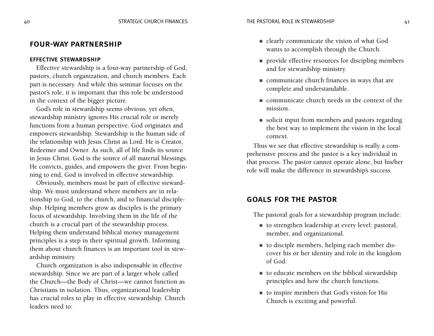#### four-way partnership

#### effective stewardship

Effective stewardship is a four-way partnership of God, pastors, church organization, and church members. Each part is necessary. And while this seminar focuses on the pastor's role, it is important that this role be understood in the context of the bigger picture.

God's role in stewardship seems obvious, yet often, stewardship ministry ignores His crucial role or merely functions from a human perspective. God originates and empowers stewardship. Stewardship is the human side of the relationship with Jesus Christ as Lord. He is Creator, Redeemer and Owner. As such, all of life finds its source in Jesus Christ. God is the source of all material blessings. He convicts, guides, and empowers the giver. From beginning to end, God is involved in effective stewardship.

Obviously, members must be part of effective stewardship. We must understand where members are in relationship to God, to the church, and to financial discipleship. Helping members grow as disciples is the primary focus of stewardship. Involving them in the life of the church is a crucial part of the stewardship process. Helping them understand biblical money management principles is a step in their spiritual growth. Informing them about church finances is an important tool in stewardship ministry.

Church organization is also indispensable in effective stewardship. Since we are part of a larger whole called the Church—the Body of Christ—we cannot function as Christians in isolation. Thus, organizational leadership has crucial roles to play in effective stewardship. Church leaders need to:

- clearly communicate the vision of what God wants to accomplish through the Church.
- provide effective resources for discipling members and for stewardship ministry.
- communicate church finances in ways that are complete and understandable.
- communicate church needs in the context of the mission.
- solicit input from members and pastors regarding the best way to implement the vision in the local context.

Thus we see that effective stewardship is really a comprehensive process and the pastor is a key individual in that process. The pastor cannot operate alone, but his/her role will make the difference in stewardship's success.

#### goals for the pastor

The pastoral goals for a stewardship program include:

- to strengthen leadership at every level: pastoral, member, and organizational.
- to disciple members, helping each member discover his or her identity and role in the kingdom of God.
- to educate members on the biblical stewardship principles and how the church functions.
- to inspire members that God's vision for His Church is exciting and powerful.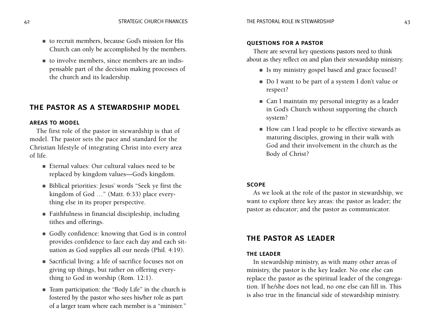- to recruit members, because God's mission for His Church can only be accomplished by the members.
- to involve members, since members are an indispensable part of the decision making processes of the church and its leadership.

#### the pastor as a stewardship model

#### areas to model

The first role of the pastor in stewardship is that of model. The pastor sets the pace and standard for the Christian lifestyle of integrating Christ into every area of life.

- Eternal values: Our cultural values need to be replaced by kingdom values—God's kingdom.
- Biblical priorities: Jesus' words "Seek ye first the kingdom of God …" (Matt. 6:33) place everything else in its proper perspective.
- Faithfulness in financial discipleship, including tithes and offerings.
- Godly confidence: knowing that God is in control provides confidence to face each day and each situation as God supplies all our needs (Phil. 4:19).
- Sacrificial living: a life of sacrifice focuses not on giving up things, but rather on offering everything to God in worship (Rom. 12:1).
- Team participation: the "Body Life" in the church is fostered by the pastor who sees his/her role as part of a larger team where each member is a "minister."

#### questions for a pastor

There are several key questions pastors need to think about as they reflect on and plan their stewardship ministry.

- Is my ministry gospel based and grace focused?
- Do I want to be part of a system I don't value or respect?
- Can I maintain my personal integrity as a leader in God's Church without supporting the church system?
- How can I lead people to be effective stewards as maturing disciples, growing in their walk with God and their involvement in the church as the Body of Christ?

#### scope

As we look at the role of the pastor in stewardship, we want to explore three key areas: the pastor as leader; the pastor as educator; and the pastor as communicator.

#### the pastor as leader

#### the leader

In stewardship ministry, as with many other areas of ministry, the pastor is the key leader. No one else can replace the pastor as the spiritual leader of the congregation. If he/she does not lead, no one else can fill in. This is also true in the financial side of stewardship ministry.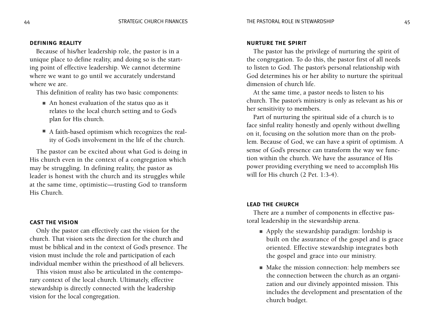#### defining reality

Because of his/her leadership role, the pastor is in a unique place to define reality, and doing so is the starting point of effective leadership. We cannot determine where we want to go until we accurately understand where we are.

This definition of reality has two basic components:

- An honest evaluation of the status quo as it relates to the local church setting and to God's plan for His church.
- A faith-based optimism which recognizes the reality of God's involvement in the life of the church.

The pastor can be excited about what God is doing in His church even in the context of a congregation which may be struggling. In defining reality, the pastor as leader is honest with the church and its struggles while at the same time, optimistic—trusting God to transform His Church.

#### cast the vision

Only the pastor can effectively cast the vision for the church. That vision sets the direction for the church and must be biblical and in the context of God's presence. The vision must include the role and participation of each individual member within the priesthood of all believers.

This vision must also be articulated in the contemporary context of the local church. Ultimately, effective stewardship is directly connected with the leadership vision for the local congregation.

#### nurture the spirit

The pastor has the privilege of nurturing the spirit of the congregation. To do this, the pastor first of all needs to listen to God. The pastor's personal relationship with God determines his or her ability to nurture the spiritual dimension of church life.

At the same time, a pastor needs to listen to his church. The pastor's ministry is only as relevant as his or her sensitivity to members.

Part of nurturing the spiritual side of a church is to face sinful reality honestly and openly without dwelling on it, focusing on the solution more than on the problem. Because of God, we can have a spirit of optimism. A sense of God's presence can transform the way we function within the church. We have the assurance of His power providing everything we need to accomplish His will for His church (2 Pet. 1:3-4).

#### lead the church

There are a number of components in effective pastoral leadership in the stewardship arena.

- Apply the stewardship paradigm: lordship is built on the assurance of the gospel and is grace oriented. Effective stewardship integrates both the gospel and grace into our ministry.
- Make the mission connection: help members see the connection between the church as an organization and our divinely appointed mission. This includes the development and presentation of the church budget.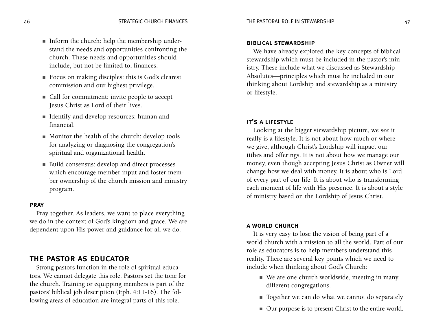- Inform the church: help the membership understand the needs and opportunities confronting the church. These needs and opportunities should include, but not be limited to, finances.
- Focus on making disciples: this is God's clearest commission and our highest privilege.
- Call for commitment: invite people to accept Jesus Christ as Lord of their lives.
- Identify and develop resources: human and financial.
- Monitor the health of the church: develop tools for analyzing or diagnosing the congregation's spiritual and organizational health.
- Build consensus: develop and direct processes which encourage member input and foster member ownership of the church mission and ministry program.

#### **PRAY**

Pray together. As leaders, we want to place everything we do in the context of God's kingdom and grace. We are dependent upon His power and guidance for all we do.

#### the pastor as educator

Strong pastors function in the role of spiritual educators. We cannot delegate this role. Pastors set the tone for the church. Training or equipping members is part of the pastors' biblical job description (Eph. 4:11-16). The following areas of education are integral parts of this role.

#### biblical stewardship

We have already explored the key concepts of biblical stewardship which must be included in the pastor's ministry. These include what we discussed as Stewardship Absolutes—principles which must be included in our thinking about Lordship and stewardship as a ministry or lifestyle.

#### it's a lifestyle

Looking at the bigger stewardship picture, we see it really is a lifestyle. It is not about how much or where we give, although Christ's Lordship will impact our tithes and offerings. It is not about how we manage our money, even though accepting Jesus Christ as Owner will change how we deal with money. It is about who is Lord of every part of our life. It is about who is transforming each moment of life with His presence. It is about a style of ministry based on the Lordship of Jesus Christ.

#### a world church

It is very easy to lose the vision of being part of a world church with a mission to all the world. Part of our role as educators is to help members understand this reality. There are several key points which we need to include when thinking about God's Church:

- We are one church worldwide, meeting in many different congregations.
- Together we can do what we cannot do separately.
- Our purpose is to present Christ to the entire world.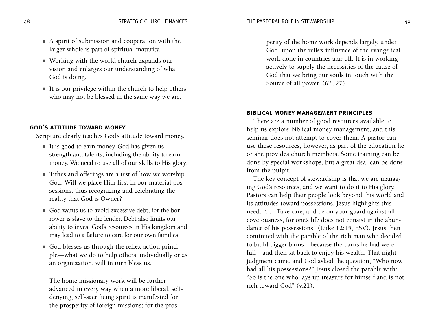- A spirit of submission and cooperation with the larger whole is part of spiritual maturity.
- Working with the world church expands our vision and enlarges our understanding of what God is doing.
- It is our privilege within the church to help others who may not be blessed in the same way we are.

#### god's attitude toward money

Scripture clearly teaches God's attitude toward money.

- It is good to earn money. God has given us strength and talents, including the ability to earn money. We need to use all of our skills to His glory.
- Tithes and offerings are a test of how we worship God. Will we place Him first in our material possessions, thus recognizing and celebrating the reality that God is Owner?
- God wants us to avoid excessive debt, for the borrower is slave to the lender. Debt also limits our ability to invest God's resources in His kingdom and may lead to a failure to care for our own families.
- God blesses us through the reflex action principle—what we do to help others, individually or as an organization, will in turn bless us.

The home missionary work will be further advanced in every way when a more liberal, selfdenying, self-sacrificing spirit is manifested for the prosperity of foreign missions; for the prosperity of the home work depends largely, under God, upon the reflex influence of the evangelical work done in countries afar off. It is in working actively to supply the necessities of the cause of God that we bring our souls in touch with the Source of all power. (*6T*, 27)

#### biblical money management principles

There are a number of good resources available to help us explore biblical money management, and this seminar does not attempt to cover them. A pastor can use these resources, however, as part of the education he or she provides church members. Some training can be done by special workshops, but a great deal can be done from the pulpit.

The key concept of stewardship is that we are managing God's resources, and we want to do it to His glory. Pastors can help their people look beyond this world and its attitudes toward possessions. Jesus highlights this need: ". . . Take care, and be on your guard against all covetousness, for one's life does not consist in the abundance of his possessions" (Luke 12:15, ESV). Jesus then continued with the parable of the rich man who decided to build bigger barns—because the barns he had were full—and then sit back to enjoy his wealth. That night judgment came, and God asked the question, "Who now had all his possessions?" Jesus closed the parable with: "So is the one who lays up treasure for himself and is not rich toward God" (v.21).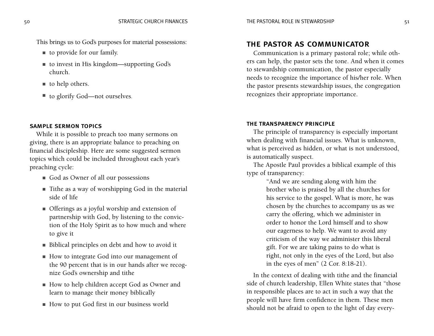This brings us to God's purposes for material possessions:

- to provide for our family.
- to invest in His kingdom—supporting God's church.
- to help others.
- to glorify God—not ourselves.

#### sample sermon topics

While it is possible to preach too many sermons on giving, there is an appropriate balance to preaching on financial discipleship. Here are some suggested sermon topics which could be included throughout each year's preaching cycle:

- God as Owner of all our possessions
- Tithe as a way of worshipping God in the material side of life
- Offerings as a joyful worship and extension of partnership with God, by listening to the conviction of the Holy Spirit as to how much and where to give it
- Biblical principles on debt and how to avoid it
- How to integrate God into our management of the 90 percent that is in our hands after we recognize God's ownership and tithe
- How to help children accept God as Owner and learn to manage their money biblically
- How to put God first in our business world

## the pastor as communicator

Communication is a primary pastoral role; while others can help, the pastor sets the tone. And when it comes to stewardship communication, the pastor especially needs to recognize the importance of his/her role. When the pastor presents stewardship issues, the congregation recognizes their appropriate importance.

#### the transparency principle

The principle of transparency is especially important when dealing with financial issues. What is unknown, what is perceived as hidden, or what is not understood, is automatically suspect.

The Apostle Paul provides a biblical example of this type of transparency:

> "And we are sending along with him the brother who is praised by all the churches for his service to the gospel. What is more, he was chosen by the churches to accompany us as we carry the offering, which we administer in order to honor the Lord himself and to show our eagerness to help. We want to avoid any criticism of the way we administer this liberal gift. For we are taking pains to do what is right, not only in the eyes of the Lord, but also in the eyes of men" (2 Cor. 8:18-21).

In the context of dealing with tithe and the financial side of church leadership, Ellen White states that "those in responsible places are to act in such a way that the people will have firm confidence in them. These men should not be afraid to open to the light of day every-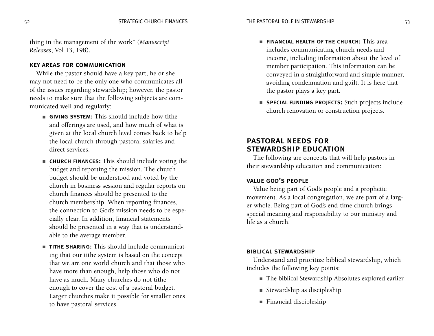thing in the management of the work" (*Manuscript Releases*, Vol 13, 198).

#### key areas for communication

While the pastor should have a key part, he or she may not need to be the only one who communicates all of the issues regarding stewardship; however, the pastor needs to make sure that the following subjects are communicated well and regularly:

- GIVING SYSTEM: This should include how tithe and offerings are used, and how much of what is given at the local church level comes back to help the local church through pastoral salaries and direct services.
- **CHURCH FINANCES:** This should include voting the budget and reporting the mission. The church budget should be understood and voted by the church in business session and regular reports on church finances should be presented to the church membership. When reporting finances, the connection to God's mission needs to be especially clear. In addition, financial statements should be presented in a way that is understandable to the average member.
- TITHE SHARING: This should include communicating that our tithe system is based on the concept that we are one world church and that those who have more than enough, help those who do not have as much. Many churches do not tithe enough to cover the cost of a pastoral budget. Larger churches make it possible for smaller ones to have pastoral services.
- **FINANCIAL HEALTH OF THE CHURCH:** This area includes communicating church needs and income, including information about the level of member participation. This information can be conveyed in a straightforward and simple manner, avoiding condemnation and guilt. It is here that the pastor plays a key part.
- special funding projects: Such projects include church renovation or construction projects.

## pastoral needs for stewardship education

The following are concepts that will help pastors in their stewardship education and communication:

#### value god's people

Value being part of God's people and a prophetic movement. As a local congregation, we are part of a larger whole. Being part of God's end-time church brings special meaning and responsibility to our ministry and life as a church.

#### biblical stewardship

Understand and prioritize biblical stewardship, which includes the following key points:

- The biblical Stewardship Absolutes explored earlier
- Stewardship as discipleship
- Financial discipleship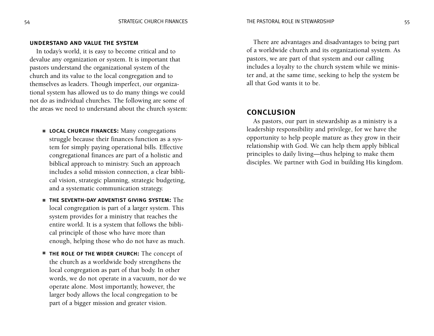#### understand and value the system

In today's world, it is easy to become critical and to devalue any organization or system. It is important that pastors understand the organizational system of the church and its value to the local congregation and to themselves as leaders. Though imperfect, our organizational system has allowed us to do many things we could not do as individual churches. The following are some of the areas we need to understand about the church system:

- LOCAL CHURCH FINANCES: Many congregations struggle because their finances function as a system for simply paying operational bills. Effective congregational finances are part of a holistic and biblical approach to ministry. Such an approach includes a solid mission connection, a clear biblical vision, strategic planning, strategic budgeting, and a systematic communication strategy.
- the seventh-day adventist giving system: The local congregation is part of a larger system. This system provides for a ministry that reaches the entire world. It is a system that follows the biblical principle of those who have more than enough, helping those who do not have as much.
- THE ROLE OF THE WIDER CHURCH: The concept of the church as a worldwide body strengthens the local congregation as part of that body. In other words, we do not operate in a vacuum, nor do we operate alone. Most importantly, however, the larger body allows the local congregation to be part of a bigger mission and greater vision.

There are advantages and disadvantages to being part of a worldwide church and its organizational system. As pastors, we are part of that system and our calling includes a loyalty to the church system while we minister and, at the same time, seeking to help the system be all that God wants it to be.

#### conclusion

As pastors, our part in stewardship as a ministry is a leadership responsibility and privilege, for we have the opportunity to help people mature as they grow in their relationship with God. We can help them apply biblical principles to daily living—thus helping to make them disciples. We partner with God in building His kingdom.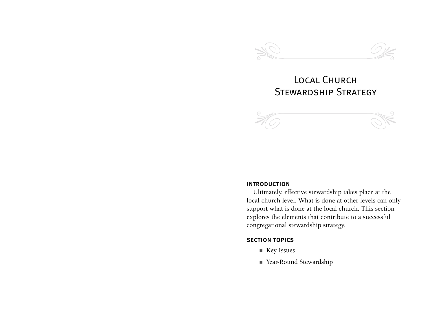

## Local Church STEWARDSHIP STRATEGY



#### introduction

Ultimately, effective stewardship takes place at the local church level. What is done at other levels can only support what is done at the local church. This section explores the elements that contribute to a successful congregational stewardship strategy.

#### section topics

- Key Issues
- Year-Round Stewardship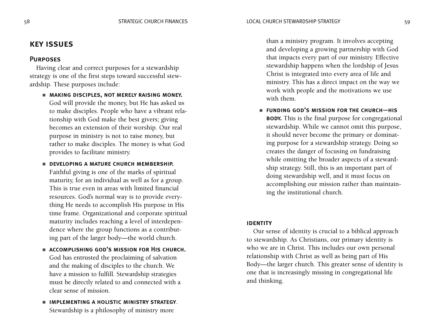### key issues

#### **PURPOSES**

Having clear and correct purposes for a stewardship strategy is one of the first steps toward successful stewardship. These purposes include:

- MAKING DISCIPLES, NOT MERELY RAISING MONEY. God will provide the money, but He has asked us to make disciples. People who have a vibrant relationship with God make the best givers; giving becomes an extension of their worship. Our real purpose in ministry is not to raise money, but rather to make disciples. The money is what God provides to facilitate ministry.
- DEVELOPING A MATURE CHURCH MEMBERSHIP. Faithful giving is one of the marks of spiritual maturity, for an individual as well as for a group. This is true even in areas with limited financial resources. God's normal way is to provide everything He needs to accomplish His purpose in His time frame. Organizational and corporate spiritual maturity includes reaching a level of interdependence where the group functions as a contributing part of the larger body—the world church.
- accomplishing god's mission for His church. God has entrusted the proclaiming of salvation and the making of disciples to the church. We have a mission to fulfill. Stewardship strategies must be directly related to and connected with a clear sense of mission.
- implementing a holistic ministry strategy. Stewardship is a philosophy of ministry more

than a ministry program. It involves accepting and developing a growing partnership with God that impacts every part of our ministry. Effective stewardship happens when the lordship of Jesus Christ is integrated into every area of life and ministry. This has a direct impact on the way we work with people and the motivations we use with them.

■ FUNDING GOD'S MISSION FOR THE CHURCH-HIS **BODY.** This is the final purpose for congregational stewardship. While we cannot omit this purpose, it should never become the primary or dominating purpose for a stewardship strategy. Doing so creates the danger of focusing on fundraising while omitting the broader aspects of a stewardship strategy. Still, this is an important part of doing stewardship well, and it must focus on accomplishing our mission rather than maintaining the institutional church.

#### **IDENTITY**

Our sense of identity is crucial to a biblical approach to stewardship. As Christians, our primary identity is who we are in Christ. This includes our own personal relationship with Christ as well as being part of His Body—the larger church. This greater sense of identity is one that is increasingly missing in congregational life and thinking.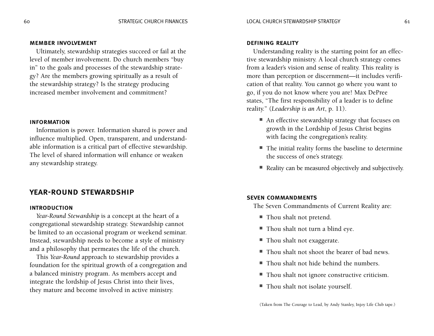#### member involvement

Ultimately, stewardship strategies succeed or fail at the level of member involvement. Do church members "buy in" to the goals and processes of the stewardship strategy? Are the members growing spiritually as a result of the stewardship strategy? Is the strategy producing increased member involvement and commitment?

#### information

Information is power. Information shared is power and influence multiplied. Open, transparent, and understandable information is a critical part of effective stewardship. The level of shared information will enhance or weaken any stewardship strategy.

#### year-round stewardship

#### introduction

*Year-Round Stewardship* is a concept at the heart of a congregational stewardship strategy. Stewardship cannot be limited to an occasional program or weekend seminar. Instead, stewardship needs to become a style of ministry and a philosophy that permeates the life of the church.

This *Year-Round* approach to stewardship provides a foundation for the spiritual growth of a congregation and a balanced ministry program. As members accept and integrate the lordship of Jesus Christ into their lives, they mature and become involved in active ministry.

#### defining reality

Understanding reality is the starting point for an effective stewardship ministry. A local church strategy comes from a leader's vision and sense of reality. This reality is more than perception or discernment—it includes verification of that reality. You cannot go where you want to go, if you do not know where you are! Max DePree states, "The first responsibility of a leader is to define reality." (*Leadership is an Art*, p. 11).

- An effective stewardship strategy that focuses on growth in the Lordship of Jesus Christ begins with facing the congregation's reality.
- The initial reality forms the baseline to determine the success of one's strategy.
- Reality can be measured objectively and subjectively.

#### seven commandments

The Seven Commandments of Current Reality are:

- Thou shalt not pretend.
- Thou shalt not turn a blind eye.
- Thou shalt not exaggerate.
- Thou shalt not shoot the bearer of bad news
- Thou shalt not hide behind the numbers.
- Thou shalt not ignore constructive criticism.
- Thou shalt not isolate yourself.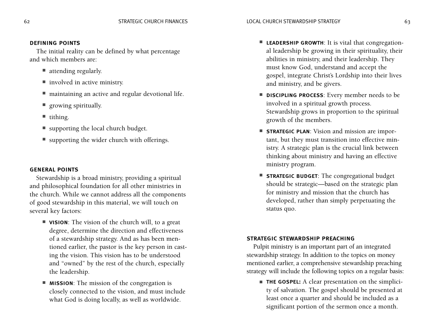#### defining points

The initial reality can be defined by what percentage and which members are:

- attending regularly.
- involved in active ministry.
- maintaining an active and regular devotional life.
- growing spiritually.
- tithing.
- supporting the local church budget.
- supporting the wider church with offerings.

#### general points

Stewardship is a broad ministry, providing a spiritual and philosophical foundation for all other ministries in the church. While we cannot address all the components of good stewardship in this material, we will touch on several key factors:

- **VISION**: The vision of the church will, to a great degree, determine the direction and effectiveness of a stewardship strategy. And as has been mentioned earlier, the pastor is the key person in casting the vision. This vision has to be understood and "owned" by the rest of the church, especially the leadership.
- **MISSION**: The mission of the congregation is closely connected to the vision, and must include what God is doing locally, as well as worldwide.
- LEADERSHIP GROWTH: It is vital that congregational leadership be growing in their spirituality, their abilities in ministry, and their leadership. They must know God, understand and accept the gospel, integrate Christ's Lordship into their lives and ministry, and be givers.
- **DISCIPLING PROCESS**: Every member needs to be involved in a spiritual growth process. Stewardship grows in proportion to the spiritual growth of the members.
- **STRATEGIC PLAN**: Vision and mission are important, but they must transition into effective ministry. A strategic plan is the crucial link between thinking about ministry and having an effective ministry program.
- **STRATEGIC BUDGET:** The congregational budget should be strategic—based on the strategic plan for ministry and mission that the church has developed, rather than simply perpetuating the status quo.

#### strategic stewardship preaching

Pulpit ministry is an important part of an integrated stewardship strategy. In addition to the topics on money mentioned earlier, a comprehensive stewardship preaching strategy will include the following topics on a regular basis:

■ **THE GOSPEL:** A clear presentation on the simplicity of salvation. The gospel should be presented at least once a quarter and should be included as a significant portion of the sermon once a month.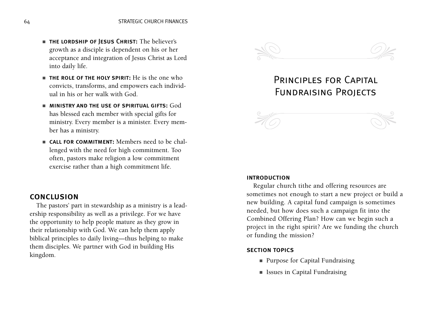- the lordship of Jesus Christ: The believer's growth as a disciple is dependent on his or her acceptance and integration of Jesus Christ as Lord into daily life.
- THE ROLE OF THE HOLY SPIRIT: He is the one who convicts, transforms, and empowers each individual in his or her walk with God.
- $\blacksquare$  MINISTRY AND THE USE OF SPIRITUAL GIFTS:  $\textsf{God}$ has blessed each member with special gifts for ministry. Every member is a minister. Every member has a ministry.
- **CALL FOR COMMITMENT:** Members need to be challenged with the need for high commitment. Too often, pastors make religion a low commitment exercise rather than a high commitment life.

#### conclusion

The pastors' part in stewardship as a ministry is a leadership responsibility as well as a privilege. For we have the opportunity to help people mature as they grow in their relationship with God. We can help them apply biblical principles to daily living—thus helping to make them disciples. We partner with God in building His kingdom.



## Principles for Capital Fundraising Projects



#### introduction

Regular church tithe and offering resources are sometimes not enough to start a new project or build a new building. A capital fund campaign is sometimes needed, but how does such a campaign fit into the Combined Offering Plan? How can we begin such a project in the right spirit? Are we funding the church or funding the mission?

#### section topics

- Purpose for Capital Fundraising
- Issues in Capital Fundraising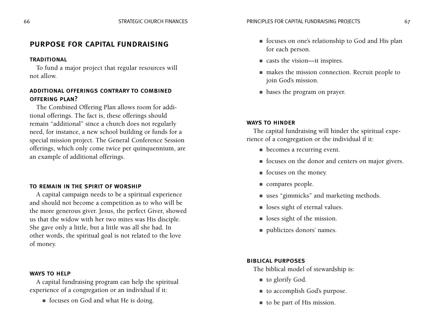#### purpose for capital fundraising

#### **TRADITIONAL**

To fund a major project that regular resources will not allow.

#### additional offerings contrary to combined offering plan?

The Combined Offering Plan allows room for additional offerings. The fact is, these offerings should remain "additional" since a church does not regularly need, for instance, a new school building or funds for a special mission project. The General Conference Session offerings, which only come twice per quinquennium, are an example of additional offerings.

#### to remain in the spirit of worship

A capital campaign needs to be a spiritual experience and should not become a competition as to who will be the more generous giver. Jesus, the perfect Giver, showed us that the widow with her two mites was His disciple. She gave only a little, but a little was all she had. In other words, the spiritual goal is not related to the love of money.

#### ways to help

A capital fundraising program can help the spiritual experience of a congregation or an individual if it:

■ focuses on God and what He is doing.

- focuses on one's relationship to God and His plan for each person.
- casts the vision—it inspires.
- makes the mission connection. Recruit people to join God's mission.
- bases the program on prayer.

#### ways to hinder

The capital fundraising will hinder the spiritual experience of a congregation or the individual if it:

- becomes a recurring event.
- focuses on the donor and centers on major givers.
- focuses on the money.
- compares people.
- uses "gimmicks" and marketing methods.
- loses sight of eternal values.
- loses sight of the mission.
- publicizes donors' names.

#### biblical purposes

The biblical model of stewardship is:

- to glorify God.
- to accomplish God's purpose.
- to be part of His mission.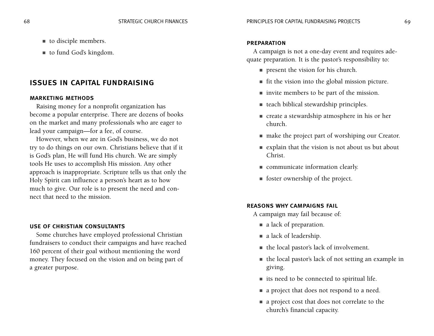■ to fund God's kingdom.

## issues in capital fundraising

#### marketing methods

Raising money for a nonprofit organization has become a popular enterprise. There are dozens of books on the market and many professionals who are eager to lead your campaign—for a fee, of course.

However, when we are in God's business, we do not try to do things on our own. Christians believe that if it is God's plan, He will fund His church. We are simply tools He uses to accomplish His mission. Any other approach is inappropriate. Scripture tells us that only the Holy Spirit can influence a person's heart as to how much to give. Our role is to present the need and connect that need to the mission.

#### use of christian consultants

Some churches have employed professional Christian fundraisers to conduct their campaigns and have reached 160 percent of their goal without mentioning the word money. They focused on the vision and on being part of a greater purpose.

#### **PREPARATION**

A campaign is not a one-day event and requires adequate preparation. It is the pastor's responsibility to:

- present the vision for his church.
- fit the vision into the global mission picture.
- invite members to be part of the mission.
- teach biblical stewardship principles.
- create a stewardship atmosphere in his or her church.
- make the project part of worshiping our Creator.
- explain that the vision is not about us but about Christ.
- communicate information clearly.
- foster ownership of the project.

#### reasons why campaigns fail

A campaign may fail because of:

- a lack of preparation.
- a lack of leadership.
- the local pastor's lack of involvement.
- the local pastor's lack of not setting an example in giving.
- its need to be connected to spiritual life.
- a project that does not respond to a need.
- a project cost that does not correlate to the church's financial capacity.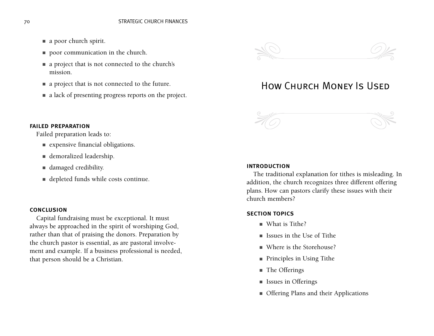- a poor church spirit.
- poor communication in the church.
- a project that is not connected to the church's mission.
- a project that is not connected to the future.
- a lack of presenting progress reports on the project.

#### failed preparation

Failed preparation leads to:

- expensive financial obligations.
- demoralized leadership.
- damaged credibility.
- depleted funds while costs continue.

#### conclusion

Capital fundraising must be exceptional. It must always be approached in the spirit of worshiping God, rather than that of praising the donors. Preparation by the church pastor is essential, as are pastoral involvement and example. If a business professional is needed, that person should be a Christian.



## How Church Money Is Used



#### introduction

The traditional explanation for tithes is misleading. In addition, the church recognizes three different offering plans. How can pastors clarify these issues with their church members?

#### section topics

- What is Tithe?
- Issues in the Use of Tithe
- Where is the Storehouse?
- Principles in Using Tithe
- The Offerings
- Issues in Offerings
- Offering Plans and their Applications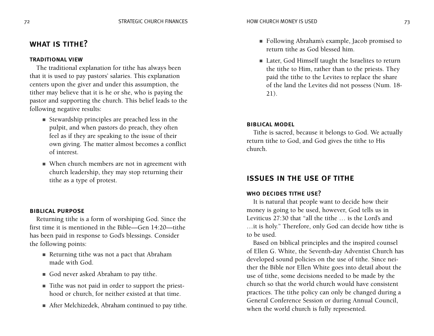## WHAT IS TITHE?

#### traditional view

The traditional explanation for tithe has always been that it is used to pay pastors' salaries. This explanation centers upon the giver and under this assumption, the tither may believe that it is he or she, who is paying the pastor and supporting the church. This belief leads to the following negative results:

- Stewardship principles are preached less in the pulpit, and when pastors do preach, they often feel as if they are speaking to the issue of their own giving. The matter almost becomes a conflict of interest.
- When church members are not in agreement with church leadership, they may stop returning their tithe as a type of protest.

#### biblical purpose

Returning tithe is a form of worshiping God. Since the first time it is mentioned in the Bible—Gen 14:20—tithe has been paid in response to God's blessings. Consider the following points:

- Returning tithe was not a pact that Abraham made with God.
- God never asked Abraham to pay tithe.
- Tithe was not paid in order to support the priesthood or church, for neither existed at that time.
- After Melchizedek, Abraham continued to pay tithe.
- Following Abraham's example, Jacob promised to return tithe as God blessed him.
- Later, God Himself taught the Israelites to return the tithe to Him, rather than to the priests. They paid the tithe to the Levites to replace the share of the land the Levites did not possess (Num. 18- 21).

#### biblical model

Tithe is sacred, because it belongs to God. We actually return tithe to God, and God gives the tithe to His church.

#### issues in the use of tithe

#### WHO DECIDES TITHE USE?

It is natural that people want to decide how their money is going to be used, however, God tells us in Leviticus 27:30 that "all the tithe … is the Lord's and …it is holy." Therefore, only God can decide how tithe is to be used.

Based on biblical principles and the inspired counsel of Ellen G. White, the Seventh-day Adventist Church has developed sound policies on the use of tithe. Since neither the Bible nor Ellen White goes into detail about the use of tithe, some decisions needed to be made by the church so that the world church would have consistent practices. The tithe policy can only be changed during a General Conference Session or during Annual Council, when the world church is fully represented.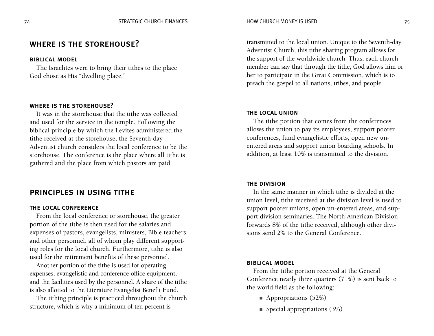#### where is the storehouse?

#### biblical model

The Israelites were to bring their tithes to the place God chose as His "dwelling place."

#### where is the storehouse?

It was in the storehouse that the tithe was collected and used for the service in the temple. Following the biblical principle by which the Levites administered the tithe received at the storehouse, the Seventh-day Adventist church considers the local conference to be the storehouse. The conference is the place where all tithe is gathered and the place from which pastors are paid.

#### principles in using tithe

#### the local conference

From the local conference or storehouse, the greater portion of the tithe is then used for the salaries and expenses of pastors, evangelists, ministers, Bible teachers and other personnel, all of whom play different supporting roles for the local church. Furthermore, tithe is also used for the retirement benefits of these personnel.

Another portion of the tithe is used for operating expenses, evangelistic and conference office equipment, and the facilities used by the personnel. A share of the tithe is also allotted to the Literature Evangelist Benefit Fund.

The tithing principle is practiced throughout the church structure, which is why a minimum of ten percent is

transmitted to the local union. Unique to the Seventh-day Adventist Church, this tithe sharing program allows for the support of the worldwide church. Thus, each church member can say that through the tithe, God allows him or her to participate in the Great Commission, which is to preach the gospel to all nations, tribes, and people.

#### the local union

The tithe portion that comes from the conferences allows the union to pay its employees, support poorer conferences, fund evangelistic efforts, open new unentered areas and support union boarding schools. In addition, at least 10% is transmitted to the division.

#### the division

In the same manner in which tithe is divided at the union level, tithe received at the division level is used to support poorer unions, open un-entered areas, and support division seminaries. The North American Division forwards 8% of the tithe received, although other divisions send 2% to the General Conference.

#### biblical model

From the tithe portion received at the General Conference nearly three quarters (71%) is sent back to the world field as the following:

- Appropriations (52%)
- Special appropriations  $(3%)$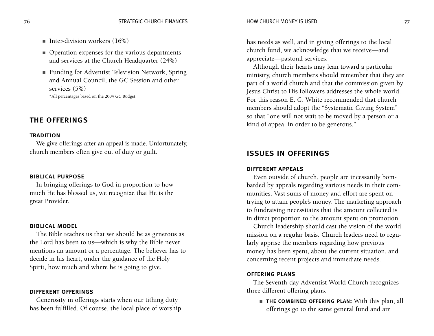- Inter-division workers  $(16%)$
- Operation expenses for the various departments and services at the Church Headquarter (24%)
- Funding for Adventist Television Network, Spring and Annual Council, the GC Session and other services (5%) \*All percentages based on the 2004 GC Budget

#### the offerings

#### **TRADITION**

We give offerings after an appeal is made. Unfortunately, church members often give out of duty or guilt.

#### biblical purpose

In bringing offerings to God in proportion to how much He has blessed us, we recognize that He is the great Provider.

#### biblical model

The Bible teaches us that we should be as generous as the Lord has been to us—which is why the Bible never mentions an amount or a percentage. The believer has to decide in his heart, under the guidance of the Holy Spirit, how much and where he is going to give.

#### different offerings

Generosity in offerings starts when our tithing duty has been fulfilled. Of course, the local place of worship has needs as well, and in giving offerings to the local church fund, we acknowledge that we receive—and appreciate—pastoral services.

Although their hearts may lean toward a particular ministry, church members should remember that they are part of a world church and that the commission given by Jesus Christ to His followers addresses the whole world. For this reason E. G. White recommended that church members should adopt the "Systematic Giving System" so that "one will not wait to be moved by a person or a kind of appeal in order to be generous."

#### issues in offerings

#### different appeals

Even outside of church, people are incessantly bombarded by appeals regarding various needs in their communities. Vast sums of money and effort are spent on trying to attain people's money. The marketing approach to fundraising necessitates that the amount collected is in direct proportion to the amount spent on promotion.

Church leadership should cast the vision of the world mission on a regular basis. Church leaders need to regularly apprise the members regarding how previous money has been spent, about the current situation, and concerning recent projects and immediate needs.

#### offering plans

The Seventh-day Adventist World Church recognizes three different offering plans.

■ the combined offering plan: With this plan, all offerings go to the same general fund and are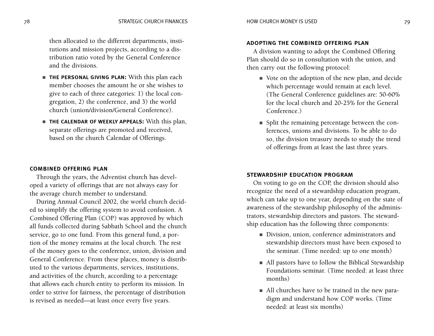then allocated to the different departments, institutions and mission projects, according to a distribution ratio voted by the General Conference and the divisions.

- THE PERSONAL GIVING PLAN: With this plan each member chooses the amount he or she wishes to give to each of three categories: 1) the local congregation, 2) the conference, and 3) the world church (union/division/General Conference).
- the calendar of weekly appeals: With this plan, separate offerings are promoted and received, based on the church Calendar of Offerings.

#### combined offering plan

Through the years, the Adventist church has developed a variety of offerings that are not always easy for the average church member to understand.

During Annual Council 2002, the world church decided to simplify the offering system to avoid confusion. A Combined Offering Plan (COP) was approved by which all funds collected during Sabbath School and the church service, go to one fund. From this general fund, a portion of the money remains at the local church. The rest of the money goes to the conference, union, division and General Conference. From these places, money is distributed to the various departments, services, institutions, and activities of the church, according to a percentage that allows each church entity to perform its mission. In order to strive for fairness, the percentage of distribution is revised as needed—at least once every five years.

#### adopting the combined offering plan

A division wanting to adopt the Combined Offering Plan should do so in consultation with the union, and then carry out the following protocol:

- Vote on the adoption of the new plan, and decide which percentage would remain at each level. (The General Conference guidelines are: 50-60% for the local church and 20-25% for the General Conference.)
- Split the remaining percentage between the conferences, unions and divisions. To be able to do so, the division treasury needs to study the trend of offerings from at least the last three years.

#### stewardship education program

On voting to go on the COP, the division should also recognize the need of a stewardship education program, which can take up to one year, depending on the state of awareness of the stewardship philosophy of the administrators, stewardship directors and pastors. The stewardship education has the following three components:

- Division, union, conference administrators and stewardship directors must have been exposed to the seminar. (Time needed: up to one month)
- All pastors have to follow the Biblical Stewardship Foundations seminar. (Time needed: at least three months)
- All churches have to be trained in the new paradigm and understand how COP works. (Time needed: at least six months)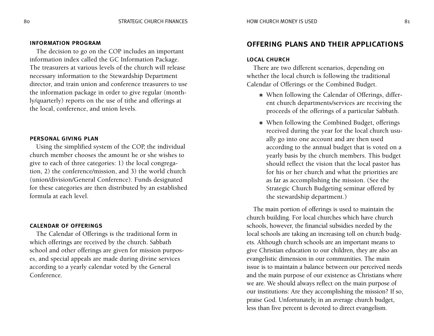#### information program

The decision to go on the COP includes an important information index called the GC Information Package. The treasurers at various levels of the church will release necessary information to the Stewardship Department director, and train union and conference treasurers to use the information package in order to give regular (monthly/quarterly) reports on the use of tithe and offerings at the local, conference, and union levels.

#### personal giving plan

Using the simplified system of the COP, the individual church member chooses the amount he or she wishes to give to each of three categories: 1) the local congregation, 2) the conference/mission, and 3) the world church (union/division/General Conference). Funds designated for these categories are then distributed by an established formula at each level.

#### calendar of offerings

The Calendar of Offerings is the traditional form in which offerings are received by the church. Sabbath school and other offerings are given for mission purposes, and special appeals are made during divine services according to a yearly calendar voted by the General Conference.

#### offering plans and their applications

#### local church

There are two different scenarios, depending on whether the local church is following the traditional Calendar of Offerings or the Combined Budget.

- When following the Calendar of Offerings, different church departments/services are receiving the proceeds of the offerings of a particular Sabbath.
- When following the Combined Budget, offerings received during the year for the local church usually go into one account and are then used according to the annual budget that is voted on a yearly basis by the church members. This budget should reflect the vision that the local pastor has for his or her church and what the priorities are as far as accomplishing the mission. (See the Strategic Church Budgeting seminar offered by the stewardship department.)

The main portion of offerings is used to maintain the church building. For local churches which have church schools, however, the financial subsidies needed by the local schools are taking an increasing toll on church budgets. Although church schools are an important means to give Christian education to our children, they are also an evangelistic dimension in our communities. The main issue is to maintain a balance between our perceived needs and the main purpose of our existence as Christians where we are. We should always reflect on the main purpose of our institutions: Are they accomplishing the mission? If so, praise God. Unfortunately, in an average church budget, less than five percent is devoted to direct evangelism.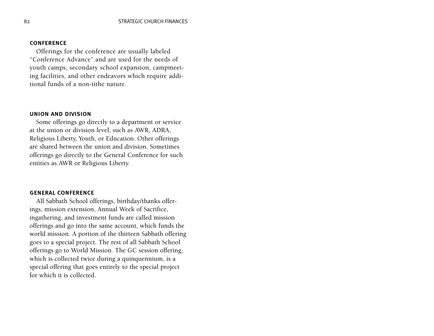#### **CONFERENCE**

Offerings for the conference are usually labeled "Conference Advance" and are used for the needs of youth camps, secondary school expansion, campmeeting facilities, and other endeavors which require additional funds of a non-tithe nature.

#### union and division

Some offerings go directly to a department or service at the union or division level, such as AWR, ADRA, Religious Liberty, Youth, or Education. Other offerings are shared between the union and division. Sometimes offerings go directly to the General Conference for such entities as AWR or Religious Liberty.

#### general conference

All Sabbath School offerings, birthday/thanks offerings, mission extension, Annual Week of Sacrifice, ingathering, and investment funds are called mission offerings and go into the same account, which funds the world mission. A portion of the thirteen Sabbath offering goes to a special project. The rest of all Sabbath School offerings go to World Mission. The GC session offering, which is collected twice during a quinquennium, is a special offering that goes entirely to the special project for which it is collected.